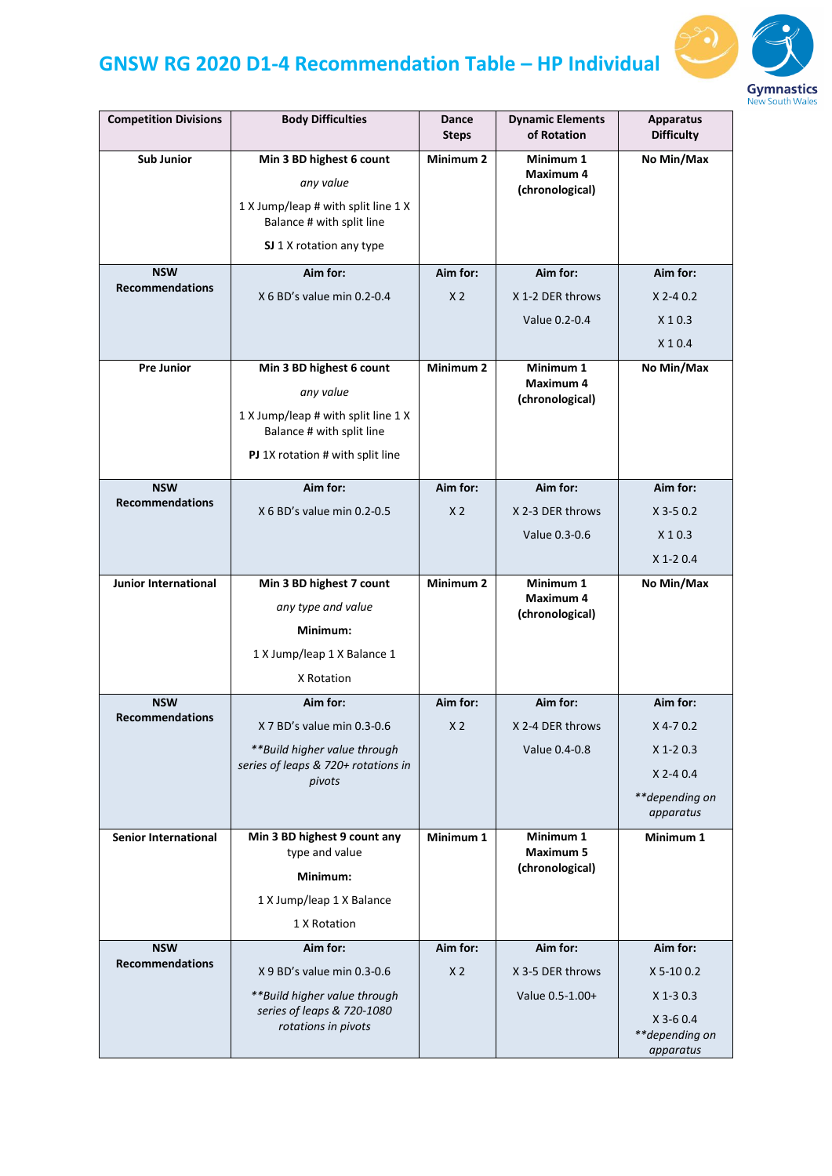## **GNSW RG 2020 D1-4 Recommendation Table – HP Individual**



| of Rotation<br><b>Steps</b>                                                                                                                                                                                                            | <b>Apparatus</b><br><b>Difficulty</b> |
|----------------------------------------------------------------------------------------------------------------------------------------------------------------------------------------------------------------------------------------|---------------------------------------|
| <b>Sub Junior</b><br>Min 3 BD highest 6 count<br>Minimum <sub>2</sub><br>Minimum 1<br><b>Maximum 4</b><br>any value<br>(chronological)<br>1 X Jump/leap # with split line 1 X<br>Balance # with split line<br>SJ 1 X rotation any type | No Min/Max                            |
| <b>NSW</b><br>Aim for:<br>Aim for:<br>Aim for:                                                                                                                                                                                         | Aim for:                              |
| <b>Recommendations</b><br>X 6 BD's value min 0.2-0.4<br>X <sub>2</sub><br>X 1-2 DER throws                                                                                                                                             | $X$ 2-4 0.2                           |
| Value 0.2-0.4                                                                                                                                                                                                                          | X 1 0.3                               |
|                                                                                                                                                                                                                                        | $X$ 1 0.4                             |
| Minimum <sub>2</sub><br><b>Pre Junior</b><br>Min 3 BD highest 6 count<br>Minimum 1                                                                                                                                                     | No Min/Max                            |
| <b>Maximum 4</b><br>any value<br>(chronological)                                                                                                                                                                                       |                                       |
| 1 X Jump/leap # with split line 1 X<br>Balance # with split line                                                                                                                                                                       |                                       |
| PJ 1X rotation # with split line                                                                                                                                                                                                       |                                       |
| <b>NSW</b><br>Aim for:<br>Aim for:<br>Aim for:                                                                                                                                                                                         | Aim for:                              |
| <b>Recommendations</b><br>X 6 BD's value min 0.2-0.5<br>X <sub>2</sub><br>X 2-3 DER throws                                                                                                                                             | $X$ 3-5 0.2                           |
| Value 0.3-0.6                                                                                                                                                                                                                          | $X$ 1 0.3                             |
|                                                                                                                                                                                                                                        | $X$ 1-2 0.4                           |
| Minimum <sub>2</sub><br>Minimum 1<br><b>Junior International</b><br>Min 3 BD highest 7 count                                                                                                                                           | No Min/Max                            |
| <b>Maximum 4</b><br>any type and value<br>(chronological)                                                                                                                                                                              |                                       |
| Minimum:                                                                                                                                                                                                                               |                                       |
| 1 X Jump/leap 1 X Balance 1                                                                                                                                                                                                            |                                       |
| X Rotation                                                                                                                                                                                                                             |                                       |
| <b>NSW</b><br>Aim for:<br>Aim for:<br>Aim for:                                                                                                                                                                                         | Aim for:                              |
| <b>Recommendations</b><br>X 7 BD's value min 0.3-0.6<br>X <sub>2</sub><br>X 2-4 DER throws                                                                                                                                             | $X$ 4-7 0.2                           |
| **Build higher value through<br>Value 0.4-0.8                                                                                                                                                                                          | $X$ 1-2 0.3                           |
| series of leaps & 720+ rotations in                                                                                                                                                                                                    | $X$ 2-4 0.4                           |
| pivots                                                                                                                                                                                                                                 | **depending on                        |
|                                                                                                                                                                                                                                        | apparatus                             |
| Minimum 1<br>Minimum 1<br><b>Senior International</b><br>Min 3 BD highest 9 count any                                                                                                                                                  | Minimum 1                             |
|                                                                                                                                                                                                                                        |                                       |
| <b>Maximum 5</b><br>type and value<br>(chronological)<br>Minimum:                                                                                                                                                                      |                                       |
| 1 X Jump/leap 1 X Balance                                                                                                                                                                                                              |                                       |
| 1 X Rotation                                                                                                                                                                                                                           |                                       |
| <b>NSW</b><br>Aim for:<br>Aim for:<br>Aim for:                                                                                                                                                                                         | Aim for:                              |
| <b>Recommendations</b><br>X 9 BD's value min 0.3-0.6<br>X <sub>2</sub><br>X 3-5 DER throws                                                                                                                                             | $X 5-10 0.2$                          |
| ** Build higher value through<br>Value 0.5-1.00+                                                                                                                                                                                       | $X$ 1-3 0.3                           |
| series of leaps & 720-1080<br>rotations in pivots                                                                                                                                                                                      | $X$ 3-6 0.4                           |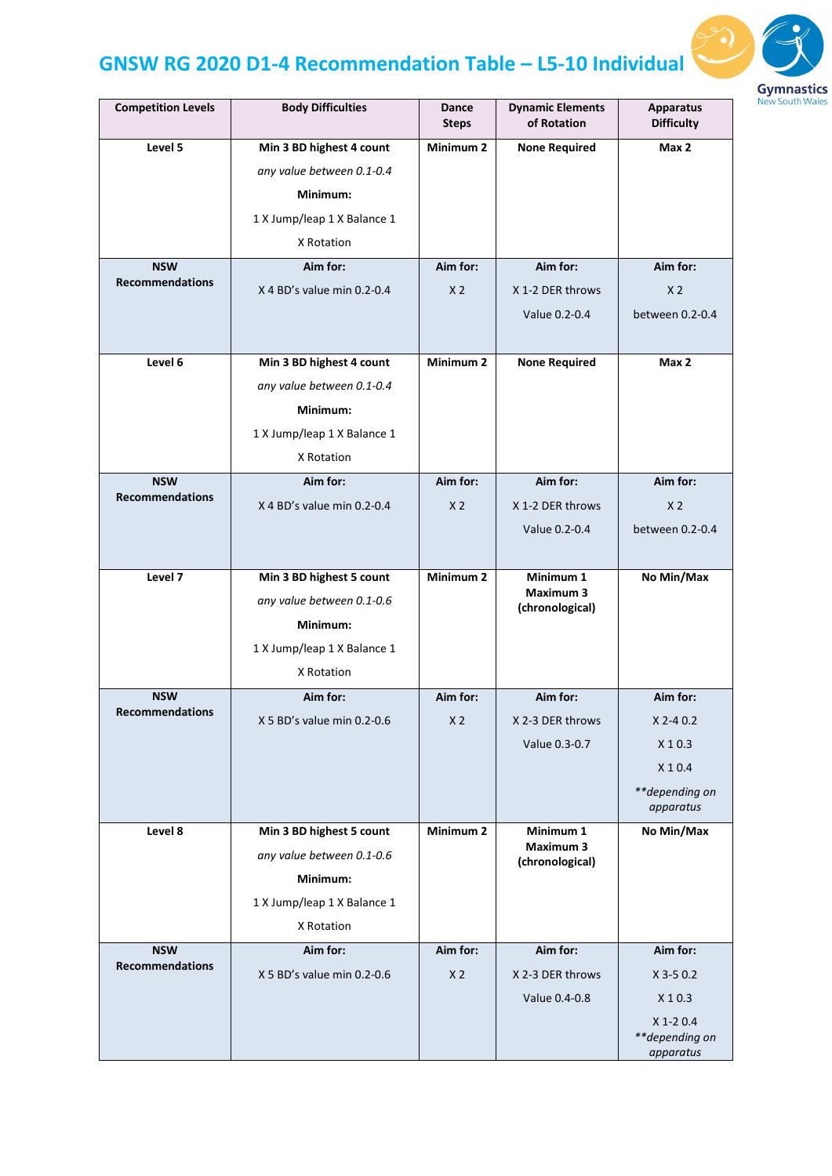## **GNSW RG 2020 D1-4 Recommendation Table – L5-10 Individual**



| <b>Competition Levels</b>            | <b>Body Difficulties</b>    | Dance<br><b>Steps</b> | <b>Dynamic Elements</b><br>of Rotation | <b>Apparatus</b><br><b>Difficulty</b> |
|--------------------------------------|-----------------------------|-----------------------|----------------------------------------|---------------------------------------|
| Level 5                              | Min 3 BD highest 4 count    | Minimum <sub>2</sub>  | <b>None Required</b>                   | Max 2                                 |
|                                      | any value between 0.1-0.4   |                       |                                        |                                       |
|                                      | Minimum:                    |                       |                                        |                                       |
|                                      | 1 X Jump/leap 1 X Balance 1 |                       |                                        |                                       |
|                                      | X Rotation                  |                       |                                        |                                       |
| <b>NSW</b>                           | Aim for:                    | Aim for:              | Aim for:                               | Aim for:                              |
| <b>Recommendations</b>               | X 4 BD's value min 0.2-0.4  | X <sub>2</sub>        | X 1-2 DER throws                       | X <sub>2</sub>                        |
|                                      |                             |                       | Value 0.2-0.4                          | between 0.2-0.4                       |
|                                      |                             |                       |                                        |                                       |
| Level 6                              | Min 3 BD highest 4 count    | Minimum <sub>2</sub>  | <b>None Required</b>                   | Max 2                                 |
|                                      | any value between 0.1-0.4   |                       |                                        |                                       |
|                                      | Minimum:                    |                       |                                        |                                       |
|                                      | 1 X Jump/leap 1 X Balance 1 |                       |                                        |                                       |
|                                      | X Rotation                  |                       |                                        |                                       |
| <b>NSW</b><br><b>Recommendations</b> | Aim for:                    | Aim for:              | Aim for:                               | Aim for:                              |
|                                      | X 4 BD's value min 0.2-0.4  | X <sub>2</sub>        | X 1-2 DER throws                       | X <sub>2</sub>                        |
|                                      |                             |                       | Value 0.2-0.4                          | between 0.2-0.4                       |
|                                      |                             |                       |                                        |                                       |
| Level 7                              | Min 3 BD highest 5 count    | Minimum <sub>2</sub>  | Minimum 1<br><b>Maximum 3</b>          | No Min/Max                            |
|                                      | any value between 0.1-0.6   |                       | (chronological)                        |                                       |
|                                      | Minimum:                    |                       |                                        |                                       |
|                                      | 1 X Jump/leap 1 X Balance 1 |                       |                                        |                                       |
|                                      | X Rotation                  |                       |                                        |                                       |
| <b>NSW</b><br><b>Recommendations</b> | Aim for:                    | Aim for:              | Aim for:                               | Aim for:                              |
|                                      | X 5 BD's value min 0.2-0.6  | X <sub>2</sub>        | X 2-3 DER throws                       | X 2-4 0.2                             |
|                                      |                             |                       | Value 0.3-0.7                          | X 1 0.3                               |
|                                      |                             |                       |                                        | X 1 0.4                               |
|                                      |                             |                       |                                        | **depending on<br>apparatus           |
| Level 8                              | Min 3 BD highest 5 count    | Minimum <sub>2</sub>  | Minimum 1                              | No Min/Max                            |
|                                      | any value between 0.1-0.6   |                       | <b>Maximum 3</b><br>(chronological)    |                                       |
|                                      | Minimum:                    |                       |                                        |                                       |
|                                      | 1 X Jump/leap 1 X Balance 1 |                       |                                        |                                       |
|                                      | X Rotation                  |                       |                                        |                                       |
| <b>NSW</b><br><b>Recommendations</b> | Aim for:                    | Aim for:              | Aim for:                               | Aim for:                              |
|                                      | X 5 BD's value min 0.2-0.6  | X <sub>2</sub>        | X 2-3 DER throws                       | $X$ 3-5 0.2                           |
|                                      |                             |                       | Value 0.4-0.8                          | $X$ 1 0.3                             |
|                                      |                             |                       |                                        | $X$ 1-2 0.4                           |
|                                      |                             |                       |                                        | **depending on<br>apparatus           |